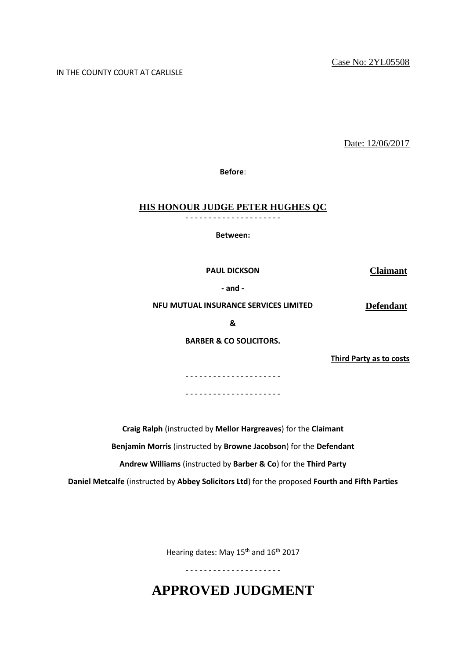#### IN THE COUNTY COURT AT CARLISLE

Date: 12/06/2017

**Before**:

#### **HIS HONOUR JUDGE PETER HUGHES QC**

- - - - - - - - - - - - - - - - - - - - -

**Between:**

**PAUL DICKSON Claimant**

**- and -**

**NFU MUTUAL INSURANCE SERVICES LIMITED Defendant**

**&**

**BARBER & CO SOLICITORS.**

**Third Party as to costs**

- - - - - - - - - - - - - - - - - - - - - - - - - - - - - - - - - - - - - - - - - -

**Craig Ralph** (instructed by **Mellor Hargreaves**) for the **Claimant**

**Benjamin Morris** (instructed by **Browne Jacobson**) for the **Defendant**

**Andrew Williams** (instructed by **Barber & Co**) for the **Third Party**

**Daniel Metcalfe** (instructed by **Abbey Solicitors Ltd**) for the proposed **Fourth and Fifth Parties**

Hearing dates: May 15<sup>th</sup> and 16<sup>th</sup> 2017

- - - - - - - - - - - - - - - - - - - - -

**APPROVED JUDGMENT**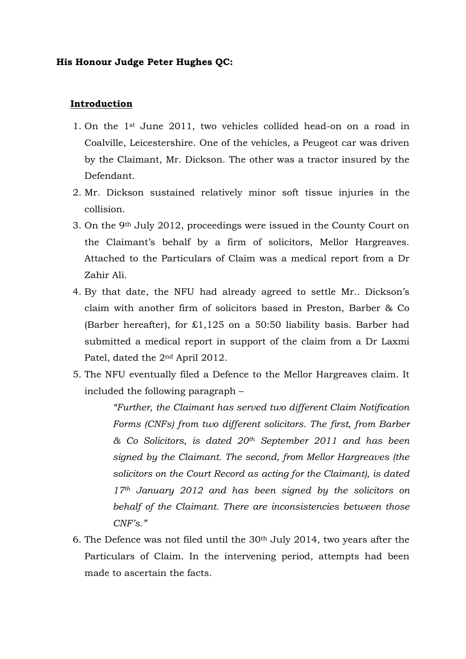## **His Honour Judge Peter Hughes QC:**

## **Introduction**

- 1. On the 1st June 2011, two vehicles collided head-on on a road in Coalville, Leicestershire. One of the vehicles, a Peugeot car was driven by the Claimant, Mr. Dickson. The other was a tractor insured by the Defendant.
- 2. Mr. Dickson sustained relatively minor soft tissue injuries in the collision.
- 3. On the 9th July 2012, proceedings were issued in the County Court on the Claimant's behalf by a firm of solicitors, Mellor Hargreaves. Attached to the Particulars of Claim was a medical report from a Dr Zahir Ali.
- 4. By that date, the NFU had already agreed to settle Mr.. Dickson's claim with another firm of solicitors based in Preston, Barber & Co (Barber hereafter), for £1,125 on a 50:50 liability basis. Barber had submitted a medical report in support of the claim from a Dr Laxmi Patel, dated the 2nd April 2012.
- 5. The NFU eventually filed a Defence to the Mellor Hargreaves claim. It included the following paragraph –

*"Further, the Claimant has served two different Claim Notification Forms (CNFs) from two different solicitors. The first, from Barber & Co Solicitors, is dated 20th September 2011 and has been signed by the Claimant. The second, from Mellor Hargreaves (the solicitors on the Court Record as acting for the Claimant), is dated 17th January 2012 and has been signed by the solicitors on behalf of the Claimant. There are inconsistencies between those CNF's."*

6. The Defence was not filed until the  $30<sup>th</sup>$  July 2014, two years after the Particulars of Claim. In the intervening period, attempts had been made to ascertain the facts.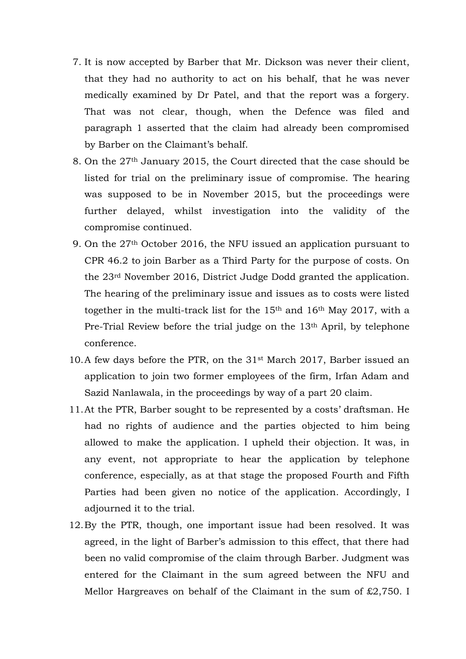- 7. It is now accepted by Barber that Mr. Dickson was never their client, that they had no authority to act on his behalf, that he was never medically examined by Dr Patel, and that the report was a forgery. That was not clear, though, when the Defence was filed and paragraph 1 asserted that the claim had already been compromised by Barber on the Claimant's behalf.
- 8. On the 27th January 2015, the Court directed that the case should be listed for trial on the preliminary issue of compromise. The hearing was supposed to be in November 2015, but the proceedings were further delayed, whilst investigation into the validity of the compromise continued.
- 9. On the 27th October 2016, the NFU issued an application pursuant to CPR 46.2 to join Barber as a Third Party for the purpose of costs. On the 23rd November 2016, District Judge Dodd granted the application. The hearing of the preliminary issue and issues as to costs were listed together in the multi-track list for the 15th and 16th May 2017, with a Pre-Trial Review before the trial judge on the 13th April, by telephone conference.
- 10.A few days before the PTR, on the 31st March 2017, Barber issued an application to join two former employees of the firm, Irfan Adam and Sazid Nanlawala, in the proceedings by way of a part 20 claim.
- 11.At the PTR, Barber sought to be represented by a costs' draftsman. He had no rights of audience and the parties objected to him being allowed to make the application. I upheld their objection. It was, in any event, not appropriate to hear the application by telephone conference, especially, as at that stage the proposed Fourth and Fifth Parties had been given no notice of the application. Accordingly, I adjourned it to the trial.
- 12.By the PTR, though, one important issue had been resolved. It was agreed, in the light of Barber's admission to this effect, that there had been no valid compromise of the claim through Barber. Judgment was entered for the Claimant in the sum agreed between the NFU and Mellor Hargreaves on behalf of the Claimant in the sum of £2,750. I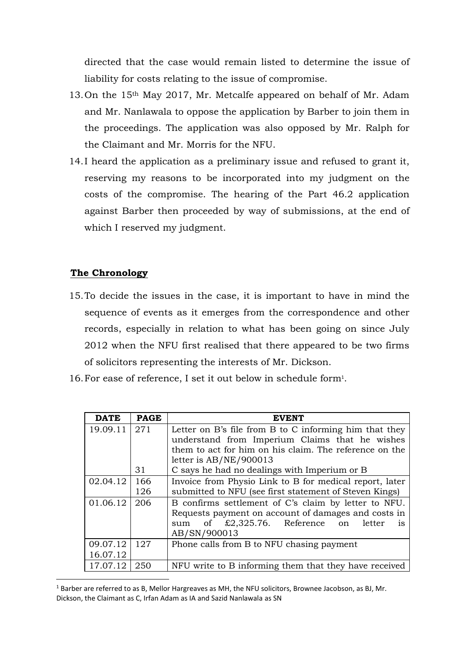directed that the case would remain listed to determine the issue of liability for costs relating to the issue of compromise.

- 13.On the 15th May 2017, Mr. Metcalfe appeared on behalf of Mr. Adam and Mr. Nanlawala to oppose the application by Barber to join them in the proceedings. The application was also opposed by Mr. Ralph for the Claimant and Mr. Morris for the NFU.
- 14.I heard the application as a preliminary issue and refused to grant it, reserving my reasons to be incorporated into my judgment on the costs of the compromise. The hearing of the Part 46.2 application against Barber then proceeded by way of submissions, at the end of which I reserved my judgment.

# **The Chronology**

<u>.</u>

- 15.To decide the issues in the case, it is important to have in mind the sequence of events as it emerges from the correspondence and other records, especially in relation to what has been going on since July 2012 when the NFU first realised that there appeared to be two firms of solicitors representing the interests of Mr. Dickson.
- 16.For ease of reference, I set it out below in schedule form<sup>1</sup> .

| <b>DATE</b> | <b>PAGE</b> | EVENT                                                                                     |
|-------------|-------------|-------------------------------------------------------------------------------------------|
| 19.09.11    | 271         | Letter on B's file from B to C informing him that they                                    |
|             |             | understand from Imperium Claims that he wishes                                            |
|             |             | them to act for him on his claim. The reference on the                                    |
|             |             | letter is $AB/NE/900013$                                                                  |
|             | 31          | C says he had no dealings with Imperium or B                                              |
| 02.04.12    | 166         | Invoice from Physio Link to B for medical report, later                                   |
|             | 126         | submitted to NFU (see first statement of Steven Kings)                                    |
| 01.06.12    | 206         | B confirms settlement of C's claim by letter to NFU.                                      |
|             |             | Requests payment on account of damages and costs in                                       |
|             |             | of $\textcolor{blue}{\text{\textsterling}}2,325.76$ . Reference on<br>letter<br>sum<br>1S |
|             |             | AB/SN/900013                                                                              |
| 09.07.12    | 127         | Phone calls from B to NFU chasing payment                                                 |
| 16.07.12    |             |                                                                                           |
| 17.07.12    | 250         | NFU write to B informing them that they have received                                     |

<sup>&</sup>lt;sup>1</sup> Barber are referred to as B, Mellor Hargreaves as MH, the NFU solicitors, Brownee Jacobson, as BJ, Mr. Dickson, the Claimant as C, Irfan Adam as IA and Sazid Nanlawala as SN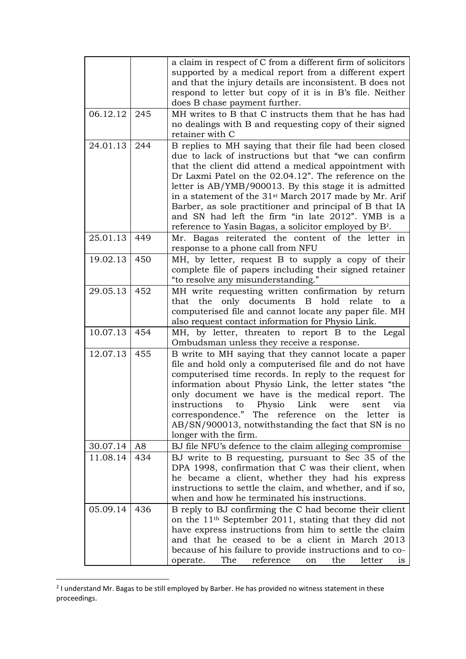|          |     | a claim in respect of C from a different firm of solicitors                                                      |
|----------|-----|------------------------------------------------------------------------------------------------------------------|
|          |     | supported by a medical report from a different expert                                                            |
|          |     | and that the injury details are inconsistent. B does not                                                         |
|          |     | respond to letter but copy of it is in B's file. Neither                                                         |
|          |     | does B chase payment further.                                                                                    |
| 06.12.12 | 245 | MH writes to B that C instructs them that he has had                                                             |
|          |     | no dealings with B and requesting copy of their signed                                                           |
|          |     | retainer with C                                                                                                  |
| 24.01.13 | 244 | B replies to MH saying that their file had been closed                                                           |
|          |     | due to lack of instructions but that "we can confirm                                                             |
|          |     | that the client did attend a medical appointment with                                                            |
|          |     | Dr Laxmi Patel on the 02.04.12". The reference on the                                                            |
|          |     | letter is AB/YMB/900013. By this stage it is admitted                                                            |
|          |     | in a statement of the 31 <sup>st</sup> March 2017 made by Mr. Arif                                               |
|          |     | Barber, as sole practitioner and principal of B that IA                                                          |
|          |     | and SN had left the firm "in late 2012". YMB is a                                                                |
|          |     | reference to Yasin Bagas, a solicitor employed by B <sup>2</sup> .                                               |
| 25.01.13 | 449 | Mr. Bagas reiterated the content of the letter in                                                                |
|          |     | response to a phone call from NFU                                                                                |
| 19.02.13 | 450 | MH, by letter, request B to supply a copy of their                                                               |
|          |     | complete file of papers including their signed retainer                                                          |
|          |     | "to resolve any misunderstanding."                                                                               |
| 29.05.13 | 452 | MH write requesting written confirmation by return                                                               |
|          |     | only documents<br>B<br>hold<br>that<br>the<br>relate<br>to<br>a                                                  |
|          |     | computerised file and cannot locate any paper file. MH                                                           |
|          |     | also request contact information for Physio Link.                                                                |
| 10.07.13 | 454 | MH, by letter, threaten to report B to the Legal                                                                 |
|          |     | Ombudsman unless they receive a response.                                                                        |
| 12.07.13 | 455 | B write to MH saying that they cannot locate a paper                                                             |
|          |     | file and hold only a computerised file and do not have<br>computerised time records. In reply to the request for |
|          |     | information about Physio Link, the letter states "the                                                            |
|          |     | only document we have is the medical report. The                                                                 |
|          |     | instructions to Physio Link were sent via                                                                        |
|          |     | correspondence." The reference on the letter is                                                                  |
|          |     | AB/SN/900013, notwithstanding the fact that SN is no                                                             |
|          |     | longer with the firm.                                                                                            |
| 30.07.14 | A8  | BJ file NFU's defence to the claim alleging compromise                                                           |
| 11.08.14 | 434 | BJ write to B requesting, pursuant to Sec 35 of the                                                              |
|          |     | DPA 1998, confirmation that C was their client, when                                                             |
|          |     | he became a client, whether they had his express                                                                 |
|          |     | instructions to settle the claim, and whether, and if so,                                                        |
|          |     | when and how he terminated his instructions.                                                                     |
| 05.09.14 | 436 | B reply to BJ confirming the C had become their client                                                           |
|          |     | on the 11 <sup>th</sup> September 2011, stating that they did not                                                |
|          |     | have express instructions from him to settle the claim                                                           |
|          |     | and that he ceased to be a client in March 2013                                                                  |
|          |     | because of his failure to provide instructions and to co-                                                        |
|          |     | reference<br>The<br>operate.<br>the<br>letter<br>on<br>is                                                        |

<sup>&</sup>lt;sup>2</sup> I understand Mr. Bagas to be still employed by Barber. He has provided no witness statement in these proceedings.

<u>.</u>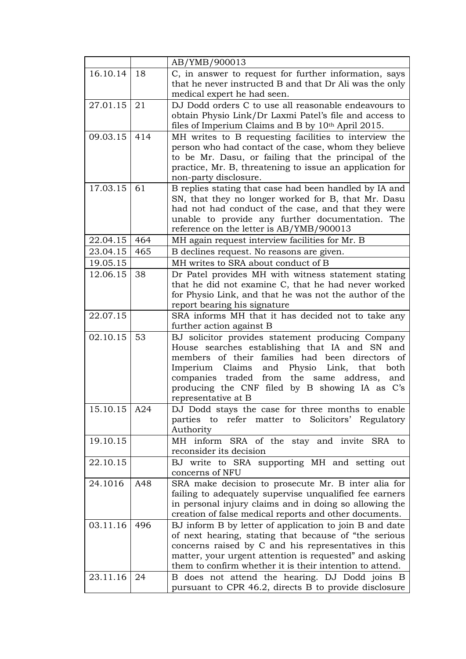|                |     | AB/YMB/900013                                                                                                                                                                                                                                                                                                                                              |
|----------------|-----|------------------------------------------------------------------------------------------------------------------------------------------------------------------------------------------------------------------------------------------------------------------------------------------------------------------------------------------------------------|
| 16.10.14       | 18  | C, in answer to request for further information, says<br>that he never instructed B and that Dr Ali was the only<br>medical expert he had seen.                                                                                                                                                                                                            |
| 27.01.15       | 21  | DJ Dodd orders C to use all reasonable endeavours to<br>obtain Physio Link/Dr Laxmi Patel's file and access to<br>files of Imperium Claims and B by 10 <sup>th</sup> April 2015.                                                                                                                                                                           |
| 09.03.15       | 414 | MH writes to B requesting facilities to interview the<br>person who had contact of the case, whom they believe<br>to be Mr. Dasu, or failing that the principal of the<br>practice, Mr. B, threatening to issue an application for<br>non-party disclosure.                                                                                                |
| 17.03.15       | 61  | B replies stating that case had been handled by IA and<br>SN, that they no longer worked for B, that Mr. Dasu<br>had not had conduct of the case, and that they were<br>unable to provide any further documentation. The<br>reference on the letter is AB/YMB/900013                                                                                       |
| 22.04.15       | 464 | MH again request interview facilities for Mr. B                                                                                                                                                                                                                                                                                                            |
| 23.04.15       | 465 | B declines request. No reasons are given.                                                                                                                                                                                                                                                                                                                  |
| 19.05.15       |     | MH writes to SRA about conduct of B                                                                                                                                                                                                                                                                                                                        |
| 12.06.15       | 38  | Dr Patel provides MH with witness statement stating<br>that he did not examine C, that he had never worked<br>for Physio Link, and that he was not the author of the<br>report bearing his signature                                                                                                                                                       |
| 22.07.15       |     | SRA informs MH that it has decided not to take any<br>further action against B                                                                                                                                                                                                                                                                             |
| 02.10.15       | 53  | BJ solicitor provides statement producing Company<br>House searches establishing that IA and SN and<br>members of their families had been<br>directors<br>οf<br>Claims<br>and Physio<br>Imperium<br>Link,<br>that<br>both<br>companies traded from<br>the same<br>address,<br>and<br>producing the CNF filed by B showing IA as C's<br>representative at B |
| 15.10.15   A24 |     | DJ Dodd stays the case for three months to enable<br>refer<br>matter to<br>Solicitors' Regulatory<br>parties<br>to<br>Authority                                                                                                                                                                                                                            |
| 19.10.15       |     | MH inform SRA of the stay and invite SRA to<br>reconsider its decision                                                                                                                                                                                                                                                                                     |
| 22.10.15       |     | BJ write to SRA supporting MH and setting out<br>concerns of NFU                                                                                                                                                                                                                                                                                           |
| 24.1016        | A48 | SRA make decision to prosecute Mr. B inter alia for<br>failing to adequately supervise unqualified fee earners<br>in personal injury claims and in doing so allowing the<br>creation of false medical reports and other documents.                                                                                                                         |
| 03.11.16       | 496 | BJ inform B by letter of application to join B and date<br>of next hearing, stating that because of "the serious<br>concerns raised by C and his representatives in this<br>matter, your urgent attention is requested" and asking<br>them to confirm whether it is their intention to attend.                                                             |
| 23.11.16       | 24  | B does not attend the hearing. DJ Dodd joins B<br>pursuant to CPR 46.2, directs B to provide disclosure                                                                                                                                                                                                                                                    |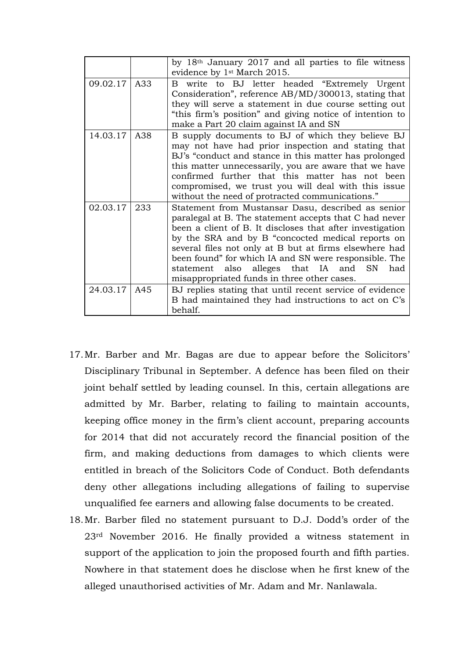|              |     | by 18 <sup>th</sup> January 2017 and all parties to file witness<br>evidence by 1 <sup>st</sup> March 2015.                                                                                                                                                                                                                                                                                                                                          |
|--------------|-----|------------------------------------------------------------------------------------------------------------------------------------------------------------------------------------------------------------------------------------------------------------------------------------------------------------------------------------------------------------------------------------------------------------------------------------------------------|
| 09.02.17     | A33 | write to BJ letter headed "Extremely Urgent"<br>B.<br>Consideration", reference AB/MD/300013, stating that<br>they will serve a statement in due course setting out<br>"this firm's position" and giving notice of intention to<br>make a Part 20 claim against IA and SN                                                                                                                                                                            |
| 14.03.17     | A38 | B supply documents to BJ of which they believe BJ<br>may not have had prior inspection and stating that<br>BJ's "conduct and stance in this matter has prolonged<br>this matter unnecessarily, you are aware that we have<br>confirmed further that this matter has not been<br>compromised, we trust you will deal with this issue<br>without the need of protracted communications."                                                               |
| 02.03.17     | 233 | Statement from Mustansar Dasu, described as senior<br>paralegal at B. The statement accepts that C had never<br>been a client of B. It discloses that after investigation<br>by the SRA and by B "concocted medical reports on<br>several files not only at B but at firms elsewhere had<br>been found" for which IA and SN were responsible. The<br>statement also alleges that IA and<br>SN.<br>had<br>misappropriated funds in three other cases. |
| 24.03.17 A45 |     | BJ replies stating that until recent service of evidence<br>B had maintained they had instructions to act on C's<br>behalf.                                                                                                                                                                                                                                                                                                                          |

- 17.Mr. Barber and Mr. Bagas are due to appear before the Solicitors' Disciplinary Tribunal in September. A defence has been filed on their joint behalf settled by leading counsel. In this, certain allegations are admitted by Mr. Barber, relating to failing to maintain accounts, keeping office money in the firm's client account, preparing accounts for 2014 that did not accurately record the financial position of the firm, and making deductions from damages to which clients were entitled in breach of the Solicitors Code of Conduct. Both defendants deny other allegations including allegations of failing to supervise unqualified fee earners and allowing false documents to be created.
- 18.Mr. Barber filed no statement pursuant to D.J. Dodd's order of the 23rd November 2016. He finally provided a witness statement in support of the application to join the proposed fourth and fifth parties. Nowhere in that statement does he disclose when he first knew of the alleged unauthorised activities of Mr. Adam and Mr. Nanlawala.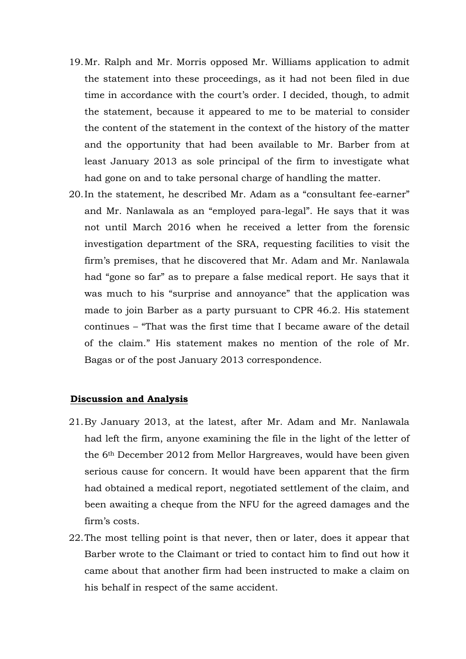- 19.Mr. Ralph and Mr. Morris opposed Mr. Williams application to admit the statement into these proceedings, as it had not been filed in due time in accordance with the court's order. I decided, though, to admit the statement, because it appeared to me to be material to consider the content of the statement in the context of the history of the matter and the opportunity that had been available to Mr. Barber from at least January 2013 as sole principal of the firm to investigate what had gone on and to take personal charge of handling the matter.
- 20.In the statement, he described Mr. Adam as a "consultant fee-earner" and Mr. Nanlawala as an "employed para-legal". He says that it was not until March 2016 when he received a letter from the forensic investigation department of the SRA, requesting facilities to visit the firm's premises, that he discovered that Mr. Adam and Mr. Nanlawala had "gone so far" as to prepare a false medical report. He says that it was much to his "surprise and annoyance" that the application was made to join Barber as a party pursuant to CPR 46.2. His statement continues – "That was the first time that I became aware of the detail of the claim." His statement makes no mention of the role of Mr. Bagas or of the post January 2013 correspondence.

#### **Discussion and Analysis**

- 21.By January 2013, at the latest, after Mr. Adam and Mr. Nanlawala had left the firm, anyone examining the file in the light of the letter of the 6th December 2012 from Mellor Hargreaves, would have been given serious cause for concern. It would have been apparent that the firm had obtained a medical report, negotiated settlement of the claim, and been awaiting a cheque from the NFU for the agreed damages and the firm's costs.
- 22.The most telling point is that never, then or later, does it appear that Barber wrote to the Claimant or tried to contact him to find out how it came about that another firm had been instructed to make a claim on his behalf in respect of the same accident.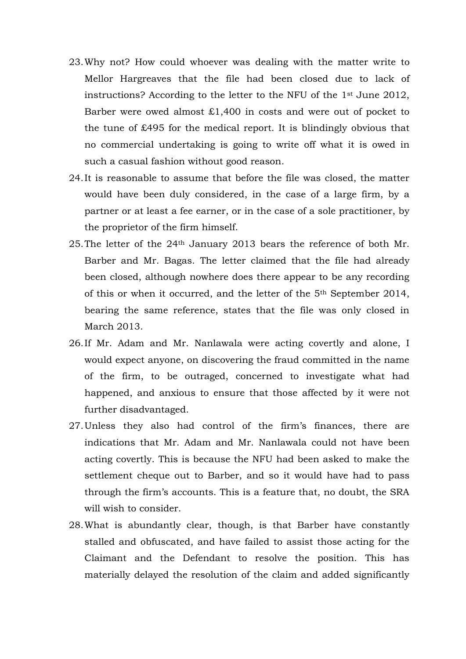- 23.Why not? How could whoever was dealing with the matter write to Mellor Hargreaves that the file had been closed due to lack of instructions? According to the letter to the NFU of the 1st June 2012, Barber were owed almost £1,400 in costs and were out of pocket to the tune of £495 for the medical report. It is blindingly obvious that no commercial undertaking is going to write off what it is owed in such a casual fashion without good reason.
- 24.It is reasonable to assume that before the file was closed, the matter would have been duly considered, in the case of a large firm, by a partner or at least a fee earner, or in the case of a sole practitioner, by the proprietor of the firm himself.
- 25.The letter of the 24th January 2013 bears the reference of both Mr. Barber and Mr. Bagas. The letter claimed that the file had already been closed, although nowhere does there appear to be any recording of this or when it occurred, and the letter of the 5th September 2014, bearing the same reference, states that the file was only closed in March 2013.
- 26.If Mr. Adam and Mr. Nanlawala were acting covertly and alone, I would expect anyone, on discovering the fraud committed in the name of the firm, to be outraged, concerned to investigate what had happened, and anxious to ensure that those affected by it were not further disadvantaged.
- 27.Unless they also had control of the firm's finances, there are indications that Mr. Adam and Mr. Nanlawala could not have been acting covertly. This is because the NFU had been asked to make the settlement cheque out to Barber, and so it would have had to pass through the firm's accounts. This is a feature that, no doubt, the SRA will wish to consider.
- 28.What is abundantly clear, though, is that Barber have constantly stalled and obfuscated, and have failed to assist those acting for the Claimant and the Defendant to resolve the position. This has materially delayed the resolution of the claim and added significantly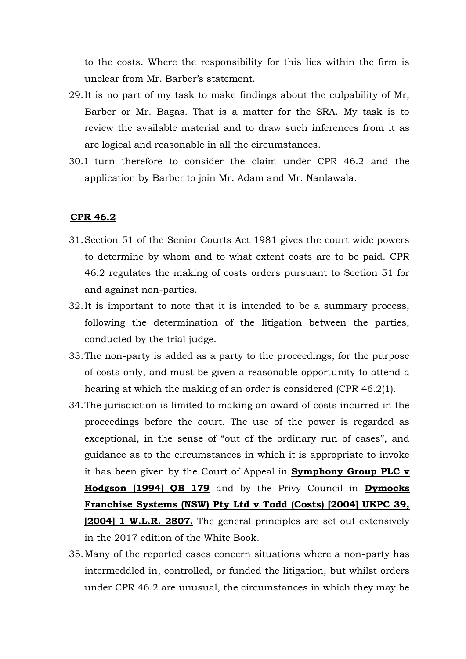to the costs. Where the responsibility for this lies within the firm is unclear from Mr. Barber's statement.

- 29.It is no part of my task to make findings about the culpability of Mr, Barber or Mr. Bagas. That is a matter for the SRA. My task is to review the available material and to draw such inferences from it as are logical and reasonable in all the circumstances.
- 30.I turn therefore to consider the claim under CPR 46.2 and the application by Barber to join Mr. Adam and Mr. Nanlawala.

## **CPR 46.2**

- 31.Section 51 of the Senior Courts Act 1981 gives the court wide powers to determine by whom and to what extent costs are to be paid. CPR 46.2 regulates the making of costs orders pursuant to Section 51 for and against non-parties.
- 32.It is important to note that it is intended to be a summary process, following the determination of the litigation between the parties, conducted by the trial judge.
- 33.The non-party is added as a party to the proceedings, for the purpose of costs only, and must be given a reasonable opportunity to attend a hearing at which the making of an order is considered (CPR 46.2(1).
- 34.The jurisdiction is limited to making an award of costs incurred in the proceedings before the court. The use of the power is regarded as exceptional, in the sense of "out of the ordinary run of cases", and guidance as to the circumstances in which it is appropriate to invoke it has been given by the Court of Appeal in **Symphony Group PLC v Hodgson [1994] QB 179** and by the Privy Council in **Dymocks Franchise Systems (NSW) Pty Ltd v Todd (Costs) [2004] UKPC 39, [2004] 1 W.L.R. 2807.** The general principles are set out extensively in the 2017 edition of the White Book.
- 35.Many of the reported cases concern situations where a non-party has intermeddled in, controlled, or funded the litigation, but whilst orders under CPR 46.2 are unusual, the circumstances in which they may be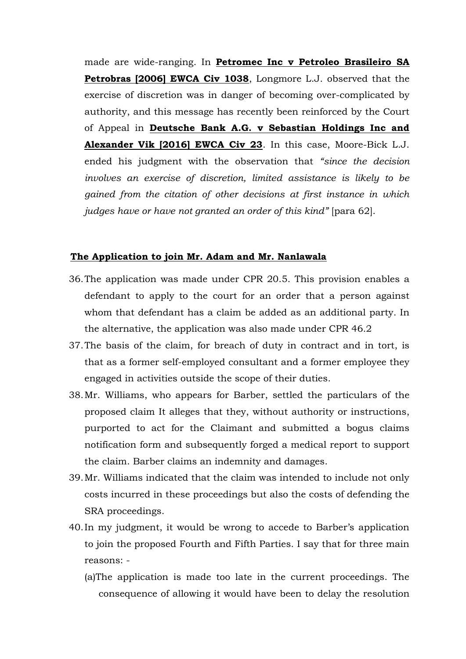made are wide-ranging. In **Petromec Inc v Petroleo Brasileiro SA Petrobras [2006] EWCA Civ 1038**, Longmore L.J. observed that the exercise of discretion was in danger of becoming over-complicated by authority, and this message has recently been reinforced by the Court of Appeal in **Deutsche Bank A.G. v Sebastian Holdings Inc and Alexander Vik [2016] EWCA Civ 23**. In this case, Moore-Bick L.J. ended his judgment with the observation that *"since the decision involves an exercise of discretion, limited assistance is likely to be gained from the citation of other decisions at first instance in which judges have or have not granted an order of this kind"* [para 62].

## **The Application to join Mr. Adam and Mr. Nanlawala**

- 36.The application was made under CPR 20.5. This provision enables a defendant to apply to the court for an order that a person against whom that defendant has a claim be added as an additional party. In the alternative, the application was also made under CPR 46.2
- 37.The basis of the claim, for breach of duty in contract and in tort, is that as a former self-employed consultant and a former employee they engaged in activities outside the scope of their duties.
- 38.Mr. Williams, who appears for Barber, settled the particulars of the proposed claim It alleges that they, without authority or instructions, purported to act for the Claimant and submitted a bogus claims notification form and subsequently forged a medical report to support the claim. Barber claims an indemnity and damages.
- 39.Mr. Williams indicated that the claim was intended to include not only costs incurred in these proceedings but also the costs of defending the SRA proceedings.
- 40.In my judgment, it would be wrong to accede to Barber's application to join the proposed Fourth and Fifth Parties. I say that for three main reasons: -
	- (a)The application is made too late in the current proceedings. The consequence of allowing it would have been to delay the resolution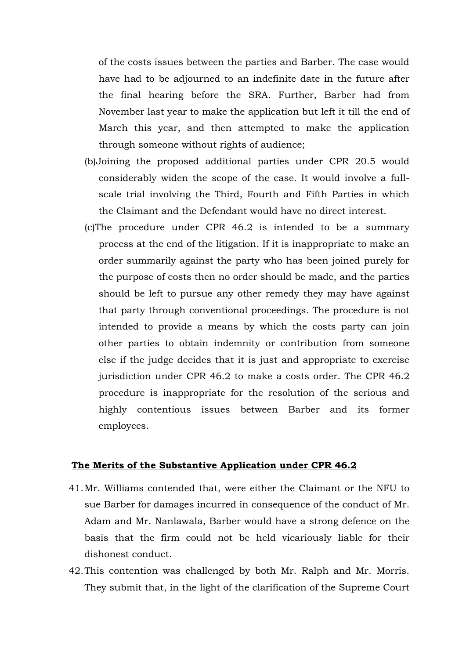of the costs issues between the parties and Barber. The case would have had to be adjourned to an indefinite date in the future after the final hearing before the SRA. Further, Barber had from November last year to make the application but left it till the end of March this year, and then attempted to make the application through someone without rights of audience;

- (b)Joining the proposed additional parties under CPR 20.5 would considerably widen the scope of the case. It would involve a fullscale trial involving the Third, Fourth and Fifth Parties in which the Claimant and the Defendant would have no direct interest.
- (c)The procedure under CPR 46.2 is intended to be a summary process at the end of the litigation. If it is inappropriate to make an order summarily against the party who has been joined purely for the purpose of costs then no order should be made, and the parties should be left to pursue any other remedy they may have against that party through conventional proceedings. The procedure is not intended to provide a means by which the costs party can join other parties to obtain indemnity or contribution from someone else if the judge decides that it is just and appropriate to exercise jurisdiction under CPR 46.2 to make a costs order. The CPR 46.2 procedure is inappropriate for the resolution of the serious and highly contentious issues between Barber and its former employees.

## **The Merits of the Substantive Application under CPR 46.2**

- 41.Mr. Williams contended that, were either the Claimant or the NFU to sue Barber for damages incurred in consequence of the conduct of Mr. Adam and Mr. Nanlawala, Barber would have a strong defence on the basis that the firm could not be held vicariously liable for their dishonest conduct.
- 42.This contention was challenged by both Mr. Ralph and Mr. Morris. They submit that, in the light of the clarification of the Supreme Court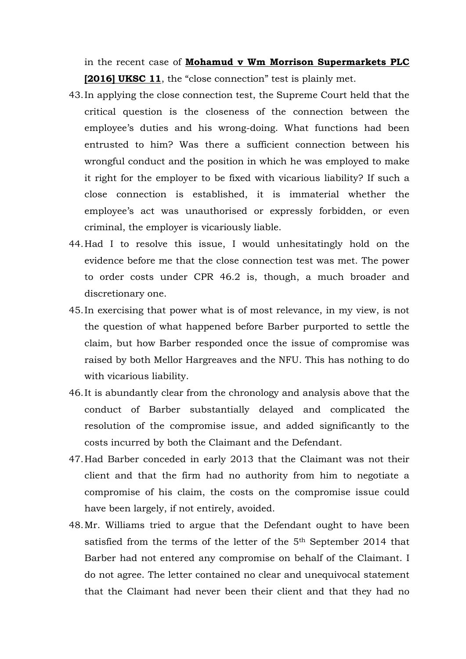in the recent case of **Mohamud v Wm Morrison Supermarkets PLC [2016] UKSC 11**, the "close connection" test is plainly met.

- 43.In applying the close connection test, the Supreme Court held that the critical question is the closeness of the connection between the employee's duties and his wrong-doing. What functions had been entrusted to him? Was there a sufficient connection between his wrongful conduct and the position in which he was employed to make it right for the employer to be fixed with vicarious liability? If such a close connection is established, it is immaterial whether the employee's act was unauthorised or expressly forbidden, or even criminal, the employer is vicariously liable.
- 44.Had I to resolve this issue, I would unhesitatingly hold on the evidence before me that the close connection test was met. The power to order costs under CPR 46.2 is, though, a much broader and discretionary one.
- 45.In exercising that power what is of most relevance, in my view, is not the question of what happened before Barber purported to settle the claim, but how Barber responded once the issue of compromise was raised by both Mellor Hargreaves and the NFU. This has nothing to do with vicarious liability.
- 46.It is abundantly clear from the chronology and analysis above that the conduct of Barber substantially delayed and complicated the resolution of the compromise issue, and added significantly to the costs incurred by both the Claimant and the Defendant.
- 47.Had Barber conceded in early 2013 that the Claimant was not their client and that the firm had no authority from him to negotiate a compromise of his claim, the costs on the compromise issue could have been largely, if not entirely, avoided.
- 48.Mr. Williams tried to argue that the Defendant ought to have been satisfied from the terms of the letter of the 5th September 2014 that Barber had not entered any compromise on behalf of the Claimant. I do not agree. The letter contained no clear and unequivocal statement that the Claimant had never been their client and that they had no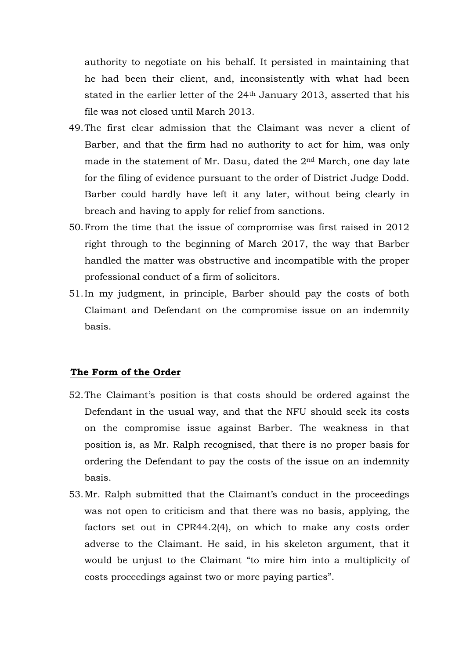authority to negotiate on his behalf. It persisted in maintaining that he had been their client, and, inconsistently with what had been stated in the earlier letter of the 24<sup>th</sup> January 2013, asserted that his file was not closed until March 2013.

- 49.The first clear admission that the Claimant was never a client of Barber, and that the firm had no authority to act for him, was only made in the statement of Mr. Dasu, dated the 2nd March, one day late for the filing of evidence pursuant to the order of District Judge Dodd. Barber could hardly have left it any later, without being clearly in breach and having to apply for relief from sanctions.
- 50.From the time that the issue of compromise was first raised in 2012 right through to the beginning of March 2017, the way that Barber handled the matter was obstructive and incompatible with the proper professional conduct of a firm of solicitors.
- 51.In my judgment, in principle, Barber should pay the costs of both Claimant and Defendant on the compromise issue on an indemnity basis.

# **The Form of the Order**

- 52.The Claimant's position is that costs should be ordered against the Defendant in the usual way, and that the NFU should seek its costs on the compromise issue against Barber. The weakness in that position is, as Mr. Ralph recognised, that there is no proper basis for ordering the Defendant to pay the costs of the issue on an indemnity basis.
- 53.Mr. Ralph submitted that the Claimant's conduct in the proceedings was not open to criticism and that there was no basis, applying, the factors set out in CPR44.2(4), on which to make any costs order adverse to the Claimant. He said, in his skeleton argument, that it would be unjust to the Claimant "to mire him into a multiplicity of costs proceedings against two or more paying parties".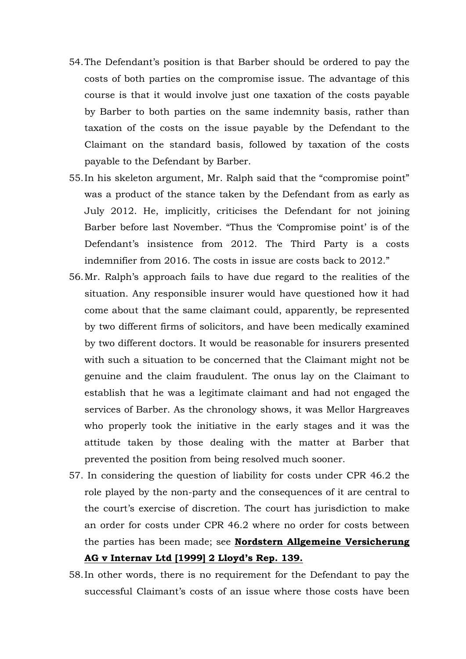- 54.The Defendant's position is that Barber should be ordered to pay the costs of both parties on the compromise issue. The advantage of this course is that it would involve just one taxation of the costs payable by Barber to both parties on the same indemnity basis, rather than taxation of the costs on the issue payable by the Defendant to the Claimant on the standard basis, followed by taxation of the costs payable to the Defendant by Barber.
- 55.In his skeleton argument, Mr. Ralph said that the "compromise point" was a product of the stance taken by the Defendant from as early as July 2012. He, implicitly, criticises the Defendant for not joining Barber before last November. "Thus the 'Compromise point' is of the Defendant's insistence from 2012. The Third Party is a costs indemnifier from 2016. The costs in issue are costs back to 2012."
- 56.Mr. Ralph's approach fails to have due regard to the realities of the situation. Any responsible insurer would have questioned how it had come about that the same claimant could, apparently, be represented by two different firms of solicitors, and have been medically examined by two different doctors. It would be reasonable for insurers presented with such a situation to be concerned that the Claimant might not be genuine and the claim fraudulent. The onus lay on the Claimant to establish that he was a legitimate claimant and had not engaged the services of Barber. As the chronology shows, it was Mellor Hargreaves who properly took the initiative in the early stages and it was the attitude taken by those dealing with the matter at Barber that prevented the position from being resolved much sooner.
- 57. In considering the question of liability for costs under CPR 46.2 the role played by the non-party and the consequences of it are central to the court's exercise of discretion. The court has jurisdiction to make an order for costs under CPR 46.2 where no order for costs between the parties has been made; see **Nordstern Allgemeine Versicherung AG v Internav Ltd [1999] 2 Lloyd's Rep. 139.**
- 58.In other words, there is no requirement for the Defendant to pay the successful Claimant's costs of an issue where those costs have been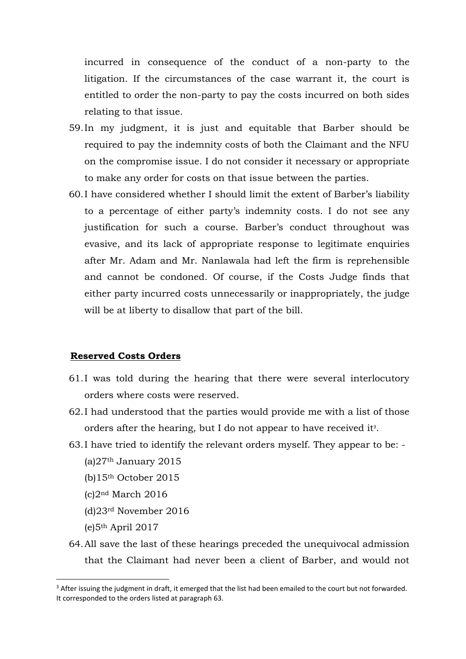incurred in consequence of the conduct of a non-party to the litigation. If the circumstances of the case warrant it, the court is entitled to order the non-party to pay the costs incurred on both sides relating to that issue.

- 59.In my judgment, it is just and equitable that Barber should be required to pay the indemnity costs of both the Claimant and the NFU on the compromise issue. I do not consider it necessary or appropriate to make any order for costs on that issue between the parties.
- 60.I have considered whether I should limit the extent of Barber's liability to a percentage of either party's indemnity costs. I do not see any justification for such a course. Barber's conduct throughout was evasive, and its lack of appropriate response to legitimate enquiries after Mr. Adam and Mr. Nanlawala had left the firm is reprehensible and cannot be condoned. Of course, if the Costs Judge finds that either party incurred costs unnecessarily or inappropriately, the judge will be at liberty to disallow that part of the bill.

#### **Reserved Costs Orders**

- 61.I was told during the hearing that there were several interlocutory orders where costs were reserved.
- 62.I had understood that the parties would provide me with a list of those orders after the hearing, but I do not appear to have received it<sup>3</sup>.
- 63.I have tried to identify the relevant orders myself. They appear to be:  $(a)27<sup>th</sup>$  January 2015
	- (b)15th October 2015
	- (c)2nd March 2016
	- (d)23rd November 2016
	- (e)5th April 2017

<u>.</u>

64.All save the last of these hearings preceded the unequivocal admission that the Claimant had never been a client of Barber, and would not

<sup>&</sup>lt;sup>3</sup> After issuing the judgment in draft, it emerged that the list had been emailed to the court but not forwarded. It corresponded to the orders listed at paragraph 63.